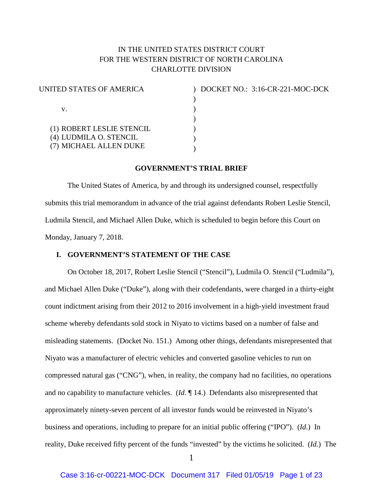# IN THE UNITED STATES DISTRICT COURT FOR THE WESTERN DISTRICT OF NORTH CAROLINA CHARLOTTE DIVISION

| UNITED STATES OF AMERICA  |  |
|---------------------------|--|
|                           |  |
| V.                        |  |
|                           |  |
| (1) ROBERT LESLIE STENCIL |  |
| (4) LUDMILA O. STENCIL    |  |
| (7) MICHAEL ALLEN DUKE    |  |

) DOCKET NO.: 3:16-CR-221-MOC-DCK )

### **GOVERNMENT'S TRIAL BRIEF**

The United States of America, by and through its undersigned counsel, respectfully submits this trial memorandum in advance of the trial against defendants Robert Leslie Stencil, Ludmila Stencil, and Michael Allen Duke, which is scheduled to begin before this Court on Monday, January 7, 2018.

### **I. GOVERNMENT'S STATEMENT OF THE CASE**

On October 18, 2017, Robert Leslie Stencil ("Stencil"), Ludmila O. Stencil ("Ludmila"), and Michael Allen Duke ("Duke"), along with their codefendants, were charged in a thirty-eight count indictment arising from their 2012 to 2016 involvement in a high-yield investment fraud scheme whereby defendants sold stock in Niyato to victims based on a number of false and misleading statements. (Docket No. 151.) Among other things, defendants misrepresented that Niyato was a manufacturer of electric vehicles and converted gasoline vehicles to run on compressed natural gas ("CNG"), when, in reality, the company had no facilities, no operations and no capability to manufacture vehicles. (*Id.* ¶ 14.) Defendants also misrepresented that approximately ninety-seven percent of all investor funds would be reinvested in Niyato's business and operations, including to prepare for an initial public offering ("IPO"). (*Id.*) In reality, Duke received fifty percent of the funds "invested" by the victims he solicited. (*Id.*) The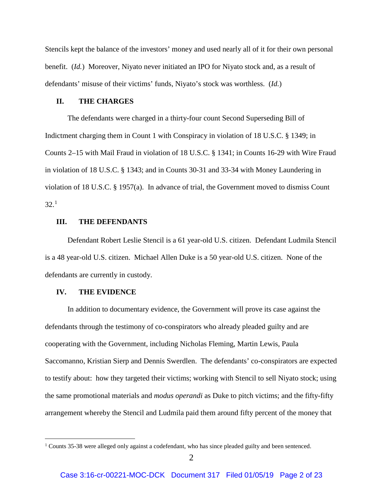Stencils kept the balance of the investors' money and used nearly all of it for their own personal benefit. (*Id.*) Moreover, Niyato never initiated an IPO for Niyato stock and, as a result of defendants' misuse of their victims' funds, Niyato's stock was worthless. (*Id.*)

#### **II. THE CHARGES**

The defendants were charged in a thirty-four count Second Superseding Bill of Indictment charging them in Count 1 with Conspiracy in violation of 18 U.S.C. § 1349; in Counts 2–15 with Mail Fraud in violation of 18 U.S.C. § 1341; in Counts 16-29 with Wire Fraud in violation of 18 U.S.C. § 1343; and in Counts 30-31 and 33-34 with Money Laundering in violation of 18 U.S.C. § 1957(a). In advance of trial, the Government moved to dismiss Count  $32.<sup>1</sup>$  $32.<sup>1</sup>$  $32.<sup>1</sup>$ 

### **III. THE DEFENDANTS**

Defendant Robert Leslie Stencil is a 61 year-old U.S. citizen. Defendant Ludmila Stencil is a 48 year-old U.S. citizen. Michael Allen Duke is a 50 year-old U.S. citizen. None of the defendants are currently in custody.

#### **IV. THE EVIDENCE**

In addition to documentary evidence, the Government will prove its case against the defendants through the testimony of co-conspirators who already pleaded guilty and are cooperating with the Government, including Nicholas Fleming, Martin Lewis, Paula Saccomanno, Kristian Sierp and Dennis Swerdlen. The defendants' co-conspirators are expected to testify about: how they targeted their victims; working with Stencil to sell Niyato stock; using the same promotional materials and *modus operandi* as Duke to pitch victims; and the fifty-fifty arrangement whereby the Stencil and Ludmila paid them around fifty percent of the money that

<span id="page-1-0"></span><sup>&</sup>lt;sup>1</sup> Counts 35-38 were alleged only against a codefendant, who has since pleaded guilty and been sentenced.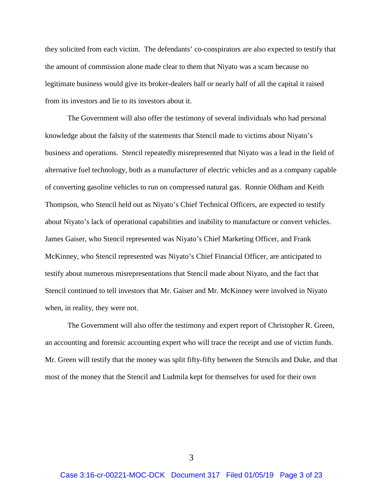they solicited from each victim. The defendants' co-conspirators are also expected to testify that the amount of commission alone made clear to them that Niyato was a scam because no legitimate business would give its broker-dealers half or nearly half of all the capital it raised from its investors and lie to its investors about it.

The Government will also offer the testimony of several individuals who had personal knowledge about the falsity of the statements that Stencil made to victims about Niyato's business and operations. Stencil repeatedly misrepresented that Niyato was a lead in the field of alternative fuel technology, both as a manufacturer of electric vehicles and as a company capable of converting gasoline vehicles to run on compressed natural gas. Ronnie Oldham and Keith Thompson, who Stencil held out as Niyato's Chief Technical Officers, are expected to testify about Niyato's lack of operational capabilities and inability to manufacture or convert vehicles. James Gaiser, who Stencil represented was Niyato's Chief Marketing Officer, and Frank McKinney, who Stencil represented was Niyato's Chief Financial Officer, are anticipated to testify about numerous misrepresentations that Stencil made about Niyato, and the fact that Stencil continued to tell investors that Mr. Gaiser and Mr. McKinney were involved in Niyato when, in reality, they were not.

The Government will also offer the testimony and expert report of Christopher R. Green, an accounting and forensic accounting expert who will trace the receipt and use of victim funds. Mr. Green will testify that the money was split fifty-fifty between the Stencils and Duke, and that most of the money that the Stencil and Ludmila kept for themselves for used for their own

3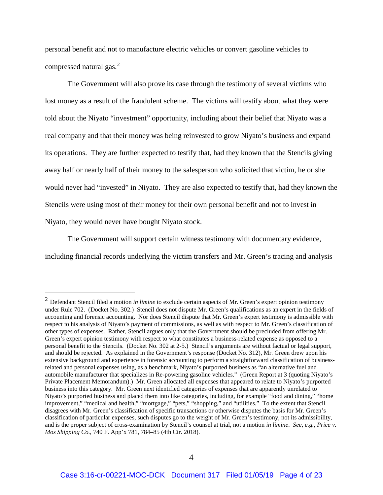personal benefit and not to manufacture electric vehicles or convert gasoline vehicles to compressed natural gas.<sup>[2](#page-3-0)</sup>

The Government will also prove its case through the testimony of several victims who lost money as a result of the fraudulent scheme. The victims will testify about what they were told about the Niyato "investment" opportunity, including about their belief that Niyato was a real company and that their money was being reinvested to grow Niyato's business and expand its operations. They are further expected to testify that, had they known that the Stencils giving away half or nearly half of their money to the salesperson who solicited that victim, he or she would never had "invested" in Niyato. They are also expected to testify that, had they known the Stencils were using most of their money for their own personal benefit and not to invest in Niyato, they would never have bought Niyato stock.

The Government will support certain witness testimony with documentary evidence, including financial records underlying the victim transfers and Mr. Green's tracing and analysis

<span id="page-3-0"></span><sup>&</sup>lt;sup>2</sup> Defendant Stencil filed a motion *in limine* to exclude certain aspects of Mr. Green's expert opinion testimony under Rule 702. (Docket No. 302.) Stencil does not dispute Mr. Green's qualifications as an expert in the fields of accounting and forensic accounting. Nor does Stencil dispute that Mr. Green's expert testimony is admissible with respect to his analysis of Niyato's payment of commissions, as well as with respect to Mr. Green's classification of other types of expenses. Rather, Stencil argues only that the Government should be precluded from offering Mr. Green's expert opinion testimony with respect to what constitutes a business-related expense as opposed to a personal benefit to the Stencils. (Docket No. 302 at 2-5.) Stencil's arguments are without factual or legal support, and should be rejected. As explained in the Government's response (Docket No. 312), Mr. Green drew upon his extensive background and experience in forensic accounting to perform a straightforward classification of businessrelated and personal expenses using, as a benchmark, Niyato's purported business as "an alternative fuel and automobile manufacturer that specializes in Re-powering gasoline vehicles." (Green Report at 3 (quoting Niyato's Private Placement Memorandum).) Mr. Green allocated all expenses that appeared to relate to Niyato's purported business into this category. Mr. Green next identified categories of expenses that are apparently unrelated to Niyato's purported business and placed them into like categories, including, for example "food and dining," "home improvement," "medical and health," "mortgage," "pets," "shopping," and "utilities." To the extent that Stencil disagrees with Mr. Green's classification of specific transactions or otherwise disputes the basis for Mr. Green's classification of particular expenses, such disputes go to the weight of Mr. Green's testimony, not its admissibility, and is the proper subject of cross-examination by Stencil's counsel at trial, not a motion *in limine*. *See, e.g., Price v. Mos Shipping Co.*, 740 F. App'x 781, 784–85 (4th Cir. 2018).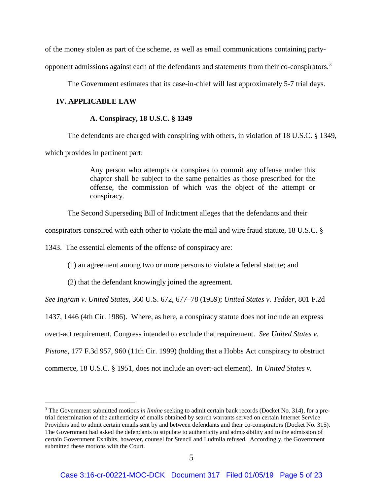of the money stolen as part of the scheme, as well as email communications containing party-

opponent admissions against each of the defendants and statements from their co-conspirators.[3](#page-4-0)

The Government estimates that its case-in-chief will last approximately 5-7 trial days.

### **IV. APPLICABLE LAW**

#### **A. Conspiracy, 18 U.S.C. § 1349**

The defendants are charged with conspiring with others, in violation of 18 U.S.C. § 1349,

which provides in pertinent part:

Any person who attempts or conspires to commit any offense under this chapter shall be subject to the same penalties as those prescribed for the offense, the commission of which was the object of the attempt or conspiracy.

The Second Superseding Bill of Indictment alleges that the defendants and their

conspirators conspired with each other to violate the mail and wire fraud statute, 18 U.S.C. §

1343. The essential elements of the offense of conspiracy are:

(1) an agreement among two or more persons to violate a federal statute; and

(2) that the defendant knowingly joined the agreement.

*See Ingram v. United States*, 360 U.S. 672, 677–78 (1959); *United States v. Tedder*, 801 F.2d

1437, 1446 (4th Cir. 1986). Where, as here, a conspiracy statute does not include an express

overt-act requirement, Congress intended to exclude that requirement. *See United States v.* 

*Pistone*, 177 F.3d 957, 960 (11th Cir. 1999) (holding that a Hobbs Act conspiracy to obstruct

commerce, 18 U.S.C. § 1951, does not include an overt-act element). In *United States v.* 

<span id="page-4-0"></span> <sup>3</sup> The Government submitted motions *in limine* seeking to admit certain bank records (Docket No. 314), for a pretrial determination of the authenticity of emails obtained by search warrants served on certain Internet Service Providers and to admit certain emails sent by and between defendants and their co-conspirators (Docket No. 315). The Government had asked the defendants to stipulate to authenticity and admissibility and to the admission of certain Government Exhibits, however, counsel for Stencil and Ludmila refused. Accordingly, the Government submitted these motions with the Court.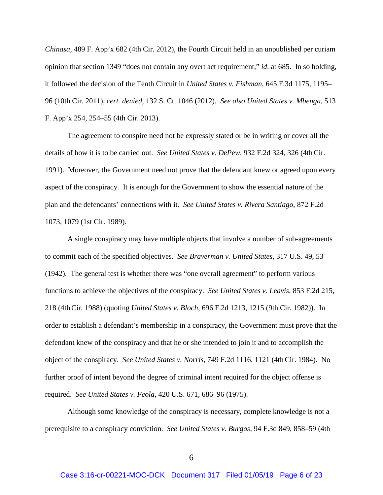*Chinasa*, 489 F. App'x 682 (4th Cir. 2012), the Fourth Circuit held in an unpublished per curiam opinion that section 1349 "does not contain any overt act requirement," *id*. at 685. In so holding, it followed the decision of the Tenth Circuit in *United States v. Fishman*, 645 F.3d 1175, 1195– 96 (10th Cir. 2011), *cert. denied*, 132 S. Ct. 1046 (2012). *See also United States v. Mbenga*, 513 F. App'x 254, 254–55 (4th Cir. 2013).

The agreement to conspire need not be expressly stated or be in writing or cover all the details of how it is to be carried out. *See United States v. DePew*, 932 F.2d 324, 326 (4thCir. 1991). Moreover, the Government need not prove that the defendant knew or agreed upon every aspect of the conspiracy. It is enough for the Government to show the essential nature of the plan and the defendants' connections with it. *See United States v. Rivera Santiago*, 872 F.2d 1073, 1079 (1st Cir. 1989).

A single conspiracy may have multiple objects that involve a number of sub-agreements to commit each of the specified objectives. *See Braverman v. United States*, 317 U.S. 49, 53 (1942). The general test is whether there was "one overall agreement" to perform various functions to achieve the objectives of the conspiracy. *See United States v. Leavis*, 853 F.2d 215, 218 (4thCir. 1988) (quoting *United States v. Bloch*, 696 F.2d 1213, 1215 (9th Cir. 1982)). In order to establish a defendant's membership in a conspiracy, the Government must prove that the defendant knew of the conspiracy and that he or she intended to join it and to accomplish the object of the conspiracy. *See United States v. Norris*, 749 F.2d 1116, 1121 (4thCir. 1984). No further proof of intent beyond the degree of criminal intent required for the object offense is required. *See United States v. Feola*, 420 U.S. 671, 686–96 (1975).

Although some knowledge of the conspiracy is necessary, complete knowledge is not a prerequisite to a conspiracy conviction. *See United States v. Burgos*, 94 F.3d 849, 858–59 (4th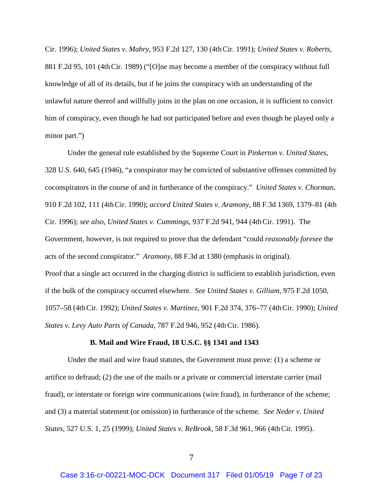Cir. 1996); *United States v. Mabry*, 953 F.2d 127, 130 (4thCir. 1991); *United States v. Roberts*, 881 F.2d 95, 101 (4thCir. 1989) ("[O]ne may become a member of the conspiracy without full knowledge of all of its details, but if he joins the conspiracy with an understanding of the unlawful nature thereof and willfully joins in the plan on one occasion, it is sufficient to convict him of conspiracy, even though he had not participated before and even though he played only a minor part.")

Under the general rule established by the Supreme Court in *Pinkerton v. United States*, 328 U.S. 640, 645 (1946), "a conspirator may be convicted of substantive offenses committed by coconspirators in the course of and in furtherance of the conspiracy." *United States v. Chorman*, 910 F.2d 102, 111 (4thCir. 1990); *accord United States v. Aramony*, 88 F.3d 1369, 1379–81 (4th Cir. 1996); *see also, United States v. Cummings*, 937 F.2d 941, 944 (4thCir. 1991). The Government, however, is not required to prove that the defendant "could *reasonably foresee* the acts of the second conspirator." *Aramony,* 88 F.3d at 1380 (emphasis in original). Proof that a single act occurred in the charging district is sufficient to establish jurisdiction, even if the bulk of the conspiracy occurred elsewhere. *See United States v. Gilliam,* 975 F.2d 1050, 1057–58 (4thCir. 1992); *United States v. Martinez*, 901 F.2d 374, 376–77 (4thCir. 1990); *United States v. Levy Auto Parts of Canada*, 787 F.2d 946, 952 (4thCir. 1986).

#### **B. Mail and Wire Fraud, 18 U.S.C. §§ 1341 and 1343**

Under the mail and wire fraud statutes, the Government must prove: (1) a scheme or artifice to defraud; (2) the use of the mails or a private or commercial interstate carrier (mail fraud), or interstate or foreign wire communications (wire fraud), in furtherance of the scheme; and (3) a material statement (or omission) in furtherance of the scheme. *See Neder v. United States,* 527 U.S. 1, 25 (1999); *United States v. ReBrook*, 58 F.3d 961, 966 (4thCir. 1995).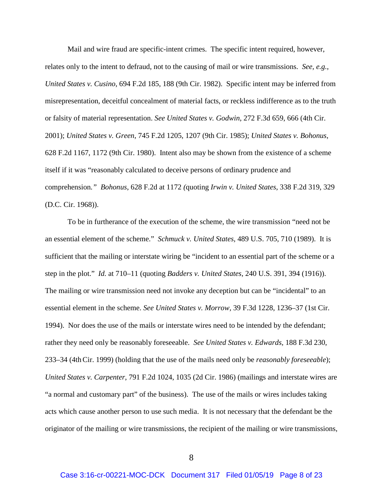Mail and wire fraud are specific-intent crimes. The specific intent required, however, relates only to the intent to defraud, not to the causing of mail or wire transmissions. *See, e.g.*, *United States v. Cusino*, 694 F.2d 185, 188 (9th Cir. 1982). Specific intent may be inferred from misrepresentation, deceitful concealment of material facts, or reckless indifference as to the truth or falsity of material representation. *See United States v. Godwin*, 272 F.3d 659, 666 (4th Cir. 2001); *United States v. Green*, 745 F.2d 1205, 1207 (9th Cir. 1985); *United States v. Bohonus*, 628 F.2d 1167, 1172 (9th Cir. 1980). Intent also may be shown from the existence of a scheme itself if it was "reasonably calculated to deceive persons of ordinary prudence and comprehension*." Bohonus*, 628 F.2d at 1172 *(*quoting *Irwin v. United States*, 338 F.2d 319, 329 (D.C. Cir. 1968)).

To be in furtherance of the execution of the scheme, the wire transmission "need not be an essential element of the scheme." *Schmuck v. United States,* 489 U.S. 705, 710 (1989). It is sufficient that the mailing or interstate wiring be "incident to an essential part of the scheme or a step in the plot." *Id.* at 710–11 (quoting *Badders v. United States*, 240 U.S. 391, 394 (1916)). The mailing or wire transmission need not invoke any deception but can be "incidental" to an essential element in the scheme. *See United States v. Morrow,* 39 F.3d 1228, 1236–37 (1st Cir. 1994). Nor does the use of the mails or interstate wires need to be intended by the defendant; rather they need only be reasonably foreseeable. *See United States v. Edwards,* 188 F.3d 230, 233–34 (4thCir. 1999) (holding that the use of the mails need only be *reasonably foreseeable*); *United States v. Carpenter*, 791 F.2d 1024, 1035 (2d Cir. 1986) (mailings and interstate wires are "a normal and customary part" of the business). The use of the mails or wires includes taking acts which cause another person to use such media. It is not necessary that the defendant be the originator of the mailing or wire transmissions, the recipient of the mailing or wire transmissions,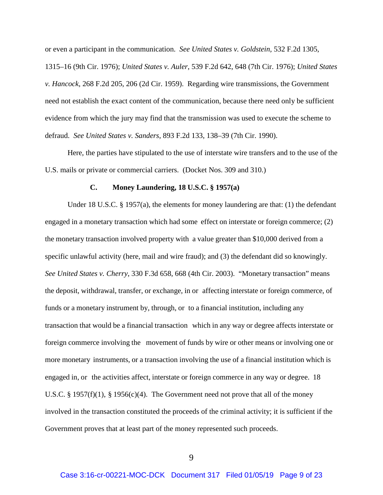or even a participant in the communication. *See United States v. Goldstein,* 532 F.2d 1305,

1315–16 (9th Cir. 1976); *United States v. Auler*, 539 F.2d 642, 648 (7th Cir. 1976); *United States v. Hancock*, 268 F.2d 205, 206 (2d Cir. 1959). Regarding wire transmissions, the Government need not establish the exact content of the communication, because there need only be sufficient evidence from which the jury may find that the transmission was used to execute the scheme to defraud. *See United States v. Sanders*, 893 F.2d 133, 138–39 (7th Cir. 1990).

Here, the parties have stipulated to the use of interstate wire transfers and to the use of the U.S. mails or private or commercial carriers. (Docket Nos. 309 and 310.)

#### **C. Money Laundering, 18 U.S.C. § 1957(a)**

Under 18 U.S.C. § 1957(a), the elements for money laundering are that: (1) the defendant engaged in a monetary transaction which had some effect on interstate or foreign commerce; (2) the monetary transaction involved property with a value greater than \$10,000 derived from a specific unlawful activity (here, mail and wire fraud); and (3) the defendant did so knowingly. *See United States v. Cherry*, 330 F.3d 658, 668 (4th Cir. 2003). "Monetary transaction" means the deposit, withdrawal, transfer, or exchange, in or affecting interstate or foreign commerce, of funds or a monetary instrument by, through, or to a financial institution, including any transaction that would be a financial transaction which in any way or degree affects interstate or foreign commerce involving the movement of funds by wire or other means or involving one or more monetary instruments, or a transaction involving the use of a financial institution which is engaged in, or the activities affect, interstate or foreign commerce in any way or degree. 18 U.S.C. § 1957(f)(1), § 1956(c)(4). The Government need not prove that all of the money involved in the transaction constituted the proceeds of the criminal activity; it is sufficient if the Government proves that at least part of the money represented such proceeds.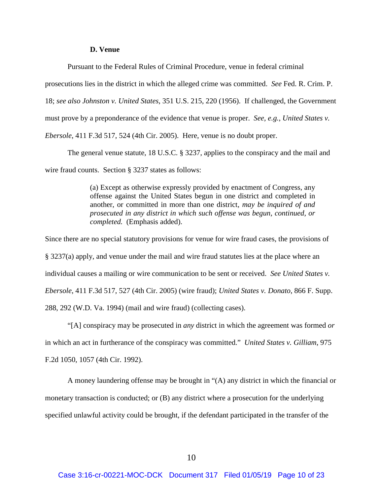#### **D. Venue**

Pursuant to the Federal Rules of Criminal Procedure, venue in federal criminal

prosecutions lies in the district in which the alleged crime was committed. *See* Fed. R. Crim. P.

18; *see also Johnston v. United States*, 351 U.S. 215, 220 (1956). If challenged, the Government

must prove by a preponderance of the evidence that venue is proper. *See, e.g., United States v.* 

*Ebersole*, 411 F.3d 517, 524 (4th Cir. 2005). Here, venue is no doubt proper.

The general venue statute, 18 U.S.C. § 3237, applies to the conspiracy and the mail and

wire fraud counts. Section § 3237 states as follows:

(a) Except as otherwise expressly provided by enactment of Congress, any offense against the United States begun in one district and completed in another, or committed in more than one district, *may be inquired of and prosecuted in any district in which such offense was begun, continued, or completed.* (Emphasis added).

Since there are no special statutory provisions for venue for wire fraud cases, the provisions of § 3237(a) apply, and venue under the mail and wire fraud statutes lies at the place where an individual causes a mailing or wire communication to be sent or received. *See United States v. Ebersole*, 411 F.3d 517, 527 (4th Cir. 2005) (wire fraud); *United States v. Donato*, 866 F. Supp. 288, 292 (W.D. Va. 1994) (mail and wire fraud) (collecting cases).

"[A] conspiracy may be prosecuted in *any* district in which the agreement was formed *or*  in which an act in furtherance of the conspiracy was committed." *United States v. Gilliam*, 975 F.2d 1050, 1057 (4th Cir. 1992).

A money laundering offense may be brought in "(A) any district in which the financial or monetary transaction is conducted; or (B) any district where a prosecution for the underlying specified unlawful activity could be brought, if the defendant participated in the transfer of the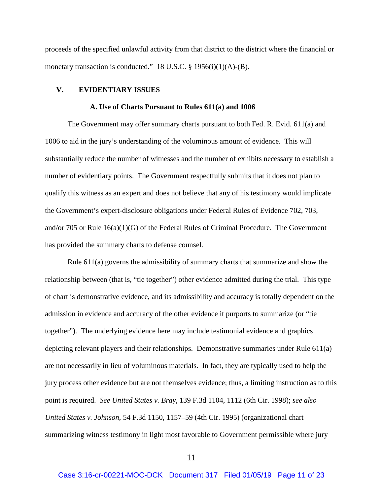proceeds of the specified unlawful activity from that district to the district where the financial or monetary transaction is conducted." 18 U.S.C. § 1956(i)(1)(A)-(B).

### **V. EVIDENTIARY ISSUES**

#### **A. Use of Charts Pursuant to Rules 611(a) and 1006**

The Government may offer summary charts pursuant to both Fed. R. Evid. 611(a) and 1006 to aid in the jury's understanding of the voluminous amount of evidence. This will substantially reduce the number of witnesses and the number of exhibits necessary to establish a number of evidentiary points. The Government respectfully submits that it does not plan to qualify this witness as an expert and does not believe that any of his testimony would implicate the Government's expert-disclosure obligations under Federal Rules of Evidence 702, 703, and/or 705 or Rule 16(a)(1)(G) of the Federal Rules of Criminal Procedure. The Government has provided the summary charts to defense counsel.

Rule 611(a) governs the admissibility of summary charts that summarize and show the relationship between (that is, "tie together") other evidence admitted during the trial. This type of chart is demonstrative evidence, and its admissibility and accuracy is totally dependent on the admission in evidence and accuracy of the other evidence it purports to summarize (or "tie together"). The underlying evidence here may include testimonial evidence and graphics depicting relevant players and their relationships. Demonstrative summaries under Rule 611(a) are not necessarily in lieu of voluminous materials. In fact, they are typically used to help the jury process other evidence but are not themselves evidence; thus, a limiting instruction as to this point is required. *See United States v. Bray*, 139 F.3d 1104, 1112 (6th Cir. 1998); *see also United States v. Johnson*, 54 F.3d 1150, 1157–59 (4th Cir. 1995) (organizational chart summarizing witness testimony in light most favorable to Government permissible where jury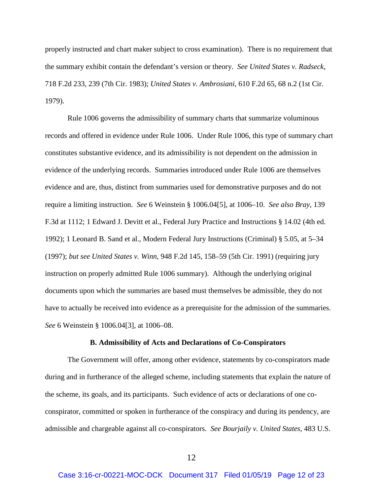properly instructed and chart maker subject to cross examination). There is no requirement that the summary exhibit contain the defendant's version or theory. *See United States v. Radseck*, 718 F.2d 233, 239 (7th Cir. 1983); *United States v. Ambrosiani*, 610 F.2d 65, 68 n.2 (1st Cir. 1979).

Rule 1006 governs the admissibility of summary charts that summarize voluminous records and offered in evidence under Rule 1006. Under Rule 1006, this type of summary chart constitutes substantive evidence, and its admissibility is not dependent on the admission in evidence of the underlying records. Summaries introduced under Rule 1006 are themselves evidence and are, thus, distinct from summaries used for demonstrative purposes and do not require a limiting instruction. *See* 6 Weinstein § 1006.04[5], at 1006–10. *See also Bray*, 139 F.3d at 1112; 1 Edward J. Devitt et al., Federal Jury Practice and Instructions § 14.02 (4th ed. 1992); 1 Leonard B. Sand et al., Modern Federal Jury Instructions (Criminal) § 5.05, at 5–34 (1997); *but see United States v. Winn*, 948 F.2d 145, 158–59 (5th Cir. 1991) (requiring jury instruction on properly admitted Rule 1006 summary). Although the underlying original documents upon which the summaries are based must themselves be admissible, they do not have to actually be received into evidence as a prerequisite for the admission of the summaries. *See* 6 Weinstein § 1006.04[3], at 1006–08.

#### **B. Admissibility of Acts and Declarations of Co-Conspirators**

The Government will offer, among other evidence, statements by co-conspirators made during and in furtherance of the alleged scheme, including statements that explain the nature of the scheme, its goals, and its participants. Such evidence of acts or declarations of one coconspirator, committed or spoken in furtherance of the conspiracy and during its pendency, are admissible and chargeable against all co-conspirators. *See Bourjaily v. United States*, 483 U.S.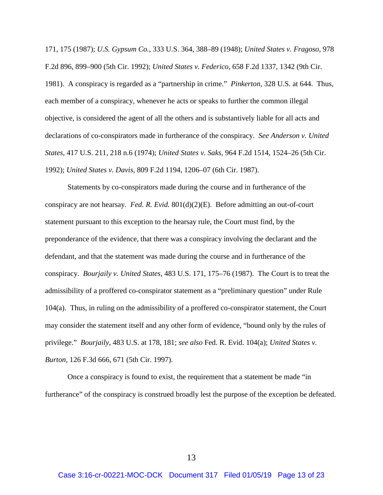171, 175 (1987); *U.S. Gypsum Co.*, 333 U.S. 364, 388–89 (1948); *United States v. Fragoso*, 978 F.2d 896, 899–900 (5th Cir. 1992); *United States v. Federico*, 658 F.2d 1337, 1342 (9th Cir. 1981). A conspiracy is regarded as a "partnership in crime." *Pinkerton*, 328 U.S. at 644. Thus, each member of a conspiracy, whenever he acts or speaks to further the common illegal objective, is considered the agent of all the others and is substantively liable for all acts and declarations of co-conspirators made in furtherance of the conspiracy. *See Anderson v. United States*, 417 U.S. 211, 218 n.6 (1974); *United States v. Saks*, 964 F.2d 1514, 1524–26 (5th Cir. 1992); *United States v. Davis*, 809 F.2d 1194, 1206–07 (6th Cir. 1987).

Statements by co-conspirators made during the course and in furtherance of the conspiracy are not hearsay. *Fed. R. Evid.* 801(d)(2)(E). Before admitting an out-of-court statement pursuant to this exception to the hearsay rule, the Court must find, by the preponderance of the evidence, that there was a conspiracy involving the declarant and the defendant, and that the statement was made during the course and in furtherance of the conspiracy. *Bourjaily v. United States*, 483 U.S. 171, 175–76 (1987). The Court is to treat the admissibility of a proffered co-conspirator statement as a "preliminary question" under Rule 104(a). Thus, in ruling on the admissibility of a proffered co-conspirator statement, the Court may consider the statement itself and any other form of evidence, "bound only by the rules of privilege." *Bourjaily*, 483 U.S. at 178, 181; *see also* Fed. R. Evid. 104(a); *United States v. Burton*, 126 F.3d 666, 671 (5th Cir. 1997).

Once a conspiracy is found to exist, the requirement that a statement be made "in furtherance" of the conspiracy is construed broadly lest the purpose of the exception be defeated.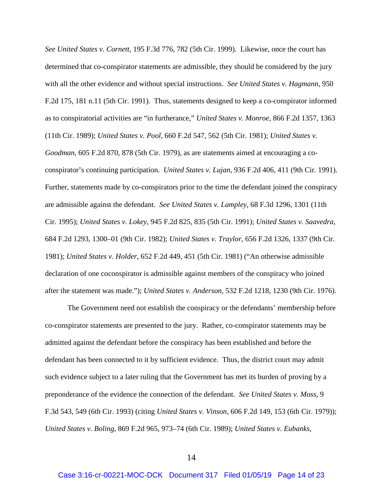*See United States v. Cornett*, 195 F.3d 776, 782 (5th Cir. 1999). Likewise, once the court has determined that co-conspirator statements are admissible, they should be considered by the jury with all the other evidence and without special instructions. *See United States v. Hagmann*, 950 F.2d 175, 181 n.11 (5th Cir. 1991). Thus, statements designed to keep a co-conspirator informed as to conspiratorial activities are "in furtherance," *United States v. Monroe*, 866 F.2d 1357, 1363 (11th Cir. 1989); *United States v. Pool*, 660 F.2d 547, 562 (5th Cir. 1981); *United States v. Goodman*, 605 F.2d 870, 878 (5th Cir. 1979), as are statements aimed at encouraging a coconspirator's continuing participation. *United States v. Lujan*, 936 F.2d 406, 411 (9th Cir. 1991). Further, statements made by co-conspirators prior to the time the defendant joined the conspiracy are admissible against the defendant. *See United States v. Lampley*, 68 F.3d 1296, 1301 (11th Cir. 1995); *United States v. Lokey*, 945 F.2d 825, 835 (5th Cir. 1991); *United States v. Saavedra*, 684 F.2d 1293, 1300–01 (9th Cir. 1982); *United States v. Traylor*, 656 F.2d 1326, 1337 (9th Cir. 1981); *United States v. Holder*, 652 F.2d 449, 451 (5th Cir. 1981) ("An otherwise admissible declaration of one coconspirator is admissible against members of the conspiracy who joined after the statement was made."); *United States v. Anderson*, 532 F.2d 1218, 1230 (9th Cir. 1976).

The Government need not establish the conspiracy or the defendants' membership before co-conspirator statements are presented to the jury. Rather, co-conspirator statements may be admitted against the defendant before the conspiracy has been established and before the defendant has been connected to it by sufficient evidence. Thus, the district court may admit such evidence subject to a later ruling that the Government has met its burden of proving by a preponderance of the evidence the connection of the defendant. *See United States v. Moss*, 9 F.3d 543, 549 (6th Cir. 1993) (citing *United States v. Vinson*, 606 F.2d 149, 153 (6th Cir. 1979)); *United States v. Boling*, 869 F.2d 965, 973–74 (6th Cir. 1989); *United States v. Eubanks*,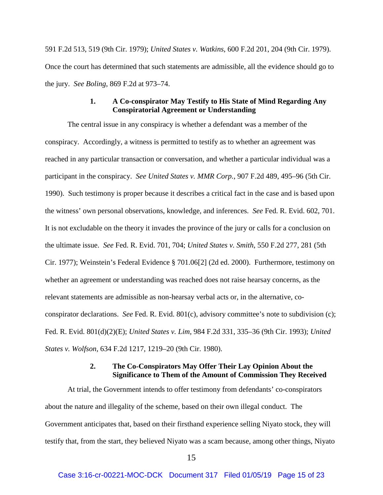591 F.2d 513, 519 (9th Cir. 1979); *United States v. Watkins*, 600 F.2d 201, 204 (9th Cir. 1979). Once the court has determined that such statements are admissible, all the evidence should go to the jury. *See Boling*, 869 F.2d at 973–74.

# **1. A Co-conspirator May Testify to His State of Mind Regarding Any Conspiratorial Agreement or Understanding**

The central issue in any conspiracy is whether a defendant was a member of the conspiracy. Accordingly, a witness is permitted to testify as to whether an agreement was reached in any particular transaction or conversation, and whether a particular individual was a participant in the conspiracy. *See United States v. MMR Corp.*, 907 F.2d 489, 495–96 (5th Cir. 1990). Such testimony is proper because it describes a critical fact in the case and is based upon the witness' own personal observations, knowledge, and inferences. *See* Fed. R. Evid. 602, 701. It is not excludable on the theory it invades the province of the jury or calls for a conclusion on the ultimate issue. *See* Fed. R. Evid. 701, 704; *United States v. Smith*, 550 F.2d 277, 281 (5th Cir. 1977); Weinstein's Federal Evidence § 701.06[2] (2d ed. 2000). Furthermore, testimony on whether an agreement or understanding was reached does not raise hearsay concerns, as the relevant statements are admissible as non-hearsay verbal acts or, in the alternative, coconspirator declarations. *See* Fed. R. Evid. 801(c), advisory committee's note to subdivision (c); Fed. R. Evid. 801(d)(2)(E); *United States v. Lim*, 984 F.2d 331, 335–36 (9th Cir. 1993); *United States v. Wolfson*, 634 F.2d 1217, 1219–20 (9th Cir. 1980).

# **2. The Co-Conspirators May Offer Their Lay Opinion About the Significance to Them of the Amount of Commission They Received**

At trial, the Government intends to offer testimony from defendants' co-conspirators about the nature and illegality of the scheme, based on their own illegal conduct. The Government anticipates that, based on their firsthand experience selling Niyato stock, they will testify that, from the start, they believed Niyato was a scam because, among other things, Niyato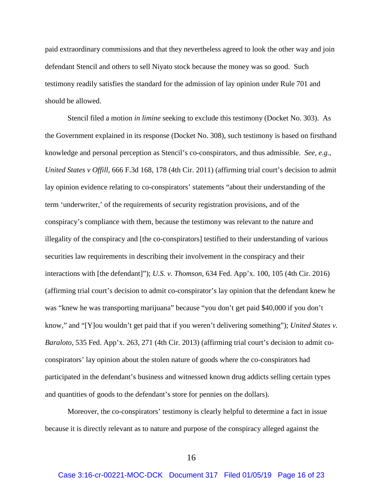paid extraordinary commissions and that they nevertheless agreed to look the other way and join defendant Stencil and others to sell Niyato stock because the money was so good. Such testimony readily satisfies the standard for the admission of lay opinion under Rule 701 and should be allowed.

Stencil filed a motion *in limine* seeking to exclude this testimony (Docket No. 303). As the Government explained in its response (Docket No. 308), such testimony is based on firsthand knowledge and personal perception as Stencil's co-conspirators, and thus admissible. *See, e.g., United States v Offill*, 666 F.3d 168, 178 (4th Cir. 2011) (affirming trial court's decision to admit lay opinion evidence relating to co-conspirators' statements "about their understanding of the term 'underwriter,' of the requirements of security registration provisions, and of the conspiracy's compliance with them, because the testimony was relevant to the nature and illegality of the conspiracy and [the co-conspirators] testified to their understanding of various securities law requirements in describing their involvement in the conspiracy and their interactions with [the defendant]"); *U.S. v. Thomson*, 634 Fed. App'x. 100, 105 (4th Cir. 2016) (affirming trial court's decision to admit co-conspirator's lay opinion that the defendant knew he was "knew he was transporting marijuana" because "you don't get paid \$40,000 if you don't know," and "[Y]ou wouldn't get paid that if you weren't delivering something"); *United States v. Baraloto*, 535 Fed. App'x. 263, 271 (4th Cir. 2013) (affirming trial court's decision to admit coconspirators' lay opinion about the stolen nature of goods where the co-conspirators had participated in the defendant's business and witnessed known drug addicts selling certain types and quantities of goods to the defendant's store for pennies on the dollars).

Moreover, the co-conspirators' testimony is clearly helpful to determine a fact in issue because it is directly relevant as to nature and purpose of the conspiracy alleged against the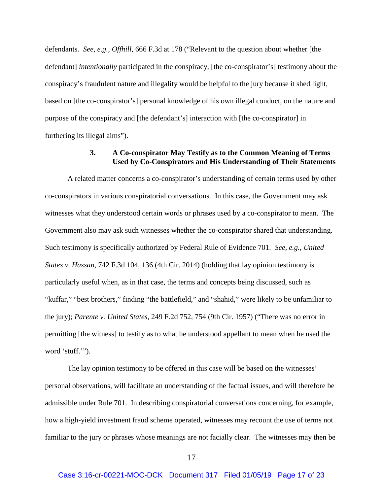defendants. *See, e.g., Offhill*, 666 F.3d at 178 ("Relevant to the question about whether [the defendant] *intentionally* participated in the conspiracy, [the co-conspirator's] testimony about the conspiracy's fraudulent nature and illegality would be helpful to the jury because it shed light, based on [the co-conspirator's] personal knowledge of his own illegal conduct, on the nature and purpose of the conspiracy and [the defendant's] interaction with [the co-conspirator] in furthering its illegal aims").

# **3. A Co-conspirator May Testify as to the Common Meaning of Terms Used by Co-Conspirators and His Understanding of Their Statements**

A related matter concerns a co-conspirator's understanding of certain terms used by other co-conspirators in various conspiratorial conversations. In this case, the Government may ask witnesses what they understood certain words or phrases used by a co-conspirator to mean. The Government also may ask such witnesses whether the co-conspirator shared that understanding. Such testimony is specifically authorized by Federal Rule of Evidence 701. *See, e.g., United States v. Hassan*, 742 F.3d 104, 136 (4th Cir. 2014) (holding that lay opinion testimony is particularly useful when, as in that case, the terms and concepts being discussed, such as "kuffar," "best brothers," finding "the battlefield," and "shahid," were likely to be unfamiliar to the jury); *Parente v. United States*, 249 F.2d 752, 754 (9th Cir. 1957) ("There was no error in permitting [the witness] to testify as to what he understood appellant to mean when he used the word 'stuff.'").

The lay opinion testimony to be offered in this case will be based on the witnesses' personal observations, will facilitate an understanding of the factual issues, and will therefore be admissible under Rule 701. In describing conspiratorial conversations concerning, for example, how a high-yield investment fraud scheme operated, witnesses may recount the use of terms not familiar to the jury or phrases whose meanings are not facially clear. The witnesses may then be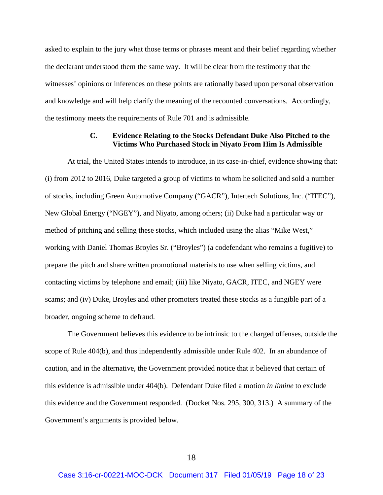asked to explain to the jury what those terms or phrases meant and their belief regarding whether the declarant understood them the same way. It will be clear from the testimony that the witnesses' opinions or inferences on these points are rationally based upon personal observation and knowledge and will help clarify the meaning of the recounted conversations. Accordingly, the testimony meets the requirements of Rule 701 and is admissible.

# **C. Evidence Relating to the Stocks Defendant Duke Also Pitched to the Victims Who Purchased Stock in Niyato From Him Is Admissible**

At trial, the United States intends to introduce, in its case-in-chief, evidence showing that: (i) from 2012 to 2016, Duke targeted a group of victims to whom he solicited and sold a number of stocks, including Green Automotive Company ("GACR"), Intertech Solutions, Inc. ("ITEC"), New Global Energy ("NGEY"), and Niyato, among others; (ii) Duke had a particular way or method of pitching and selling these stocks, which included using the alias "Mike West," working with Daniel Thomas Broyles Sr. ("Broyles") (a codefendant who remains a fugitive) to prepare the pitch and share written promotional materials to use when selling victims, and contacting victims by telephone and email; (iii) like Niyato, GACR, ITEC, and NGEY were scams; and (iv) Duke, Broyles and other promoters treated these stocks as a fungible part of a broader, ongoing scheme to defraud.

The Government believes this evidence to be intrinsic to the charged offenses, outside the scope of Rule 404(b), and thus independently admissible under Rule 402. In an abundance of caution, and in the alternative, the Government provided notice that it believed that certain of this evidence is admissible under 404(b). Defendant Duke filed a motion *in limine* to exclude this evidence and the Government responded. (Docket Nos. 295, 300, 313.) A summary of the Government's arguments is provided below.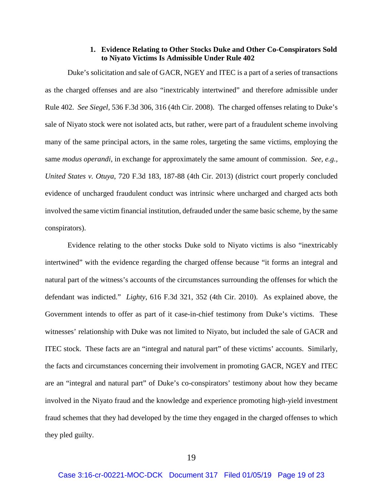### **1. Evidence Relating to Other Stocks Duke and Other Co-Conspirators Sold to Niyato Victims Is Admissible Under Rule 402**

Duke's solicitation and sale of GACR, NGEY and ITEC is a part of a series of transactions as the charged offenses and are also "inextricably intertwined" and therefore admissible under Rule 402. *See Siegel,* 536 F.3d 306, 316 (4th Cir. 2008). The charged offenses relating to Duke's sale of Niyato stock were not isolated acts, but rather, were part of a fraudulent scheme involving many of the same principal actors, in the same roles, targeting the same victims, employing the same *modus operandi*, in exchange for approximately the same amount of commission. *See, e.g., United States v. Otuya*, 720 F.3d 183, 187-88 (4th Cir. 2013) (district court properly concluded evidence of uncharged fraudulent conduct was intrinsic where uncharged and charged acts both involved the same victim financial institution, defrauded under the same basic scheme, by the same conspirators).

Evidence relating to the other stocks Duke sold to Niyato victims is also "inextricably intertwined" with the evidence regarding the charged offense because "it forms an integral and natural part of the witness's accounts of the circumstances surrounding the offenses for which the defendant was indicted." *Lighty*, 616 F.3d 321, 352 (4th Cir. 2010). As explained above, the Government intends to offer as part of it case-in-chief testimony from Duke's victims. These witnesses' relationship with Duke was not limited to Niyato, but included the sale of GACR and ITEC stock. These facts are an "integral and natural part" of these victims' accounts. Similarly, the facts and circumstances concerning their involvement in promoting GACR, NGEY and ITEC are an "integral and natural part" of Duke's co-conspirators' testimony about how they became involved in the Niyato fraud and the knowledge and experience promoting high-yield investment fraud schemes that they had developed by the time they engaged in the charged offenses to which they pled guilty.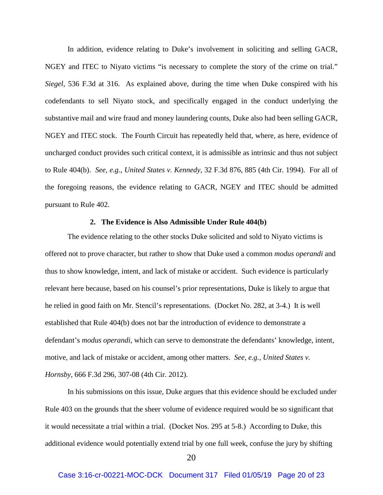In addition, evidence relating to Duke's involvement in soliciting and selling GACR, NGEY and ITEC to Niyato victims "is necessary to complete the story of the crime on trial." *Siegel*, 536 F.3d at 316. As explained above, during the time when Duke conspired with his codefendants to sell Niyato stock, and specifically engaged in the conduct underlying the substantive mail and wire fraud and money laundering counts, Duke also had been selling GACR, NGEY and ITEC stock. The Fourth Circuit has repeatedly held that, where, as here, evidence of uncharged conduct provides such critical context, it is admissible as intrinsic and thus not subject to Rule 404(b). *See, e.g.*, *United States v. Kennedy*, 32 F.3d 876, 885 (4th Cir. 1994). For all of the foregoing reasons, the evidence relating to GACR, NGEY and ITEC should be admitted pursuant to Rule 402.

#### **2. The Evidence is Also Admissible Under Rule 404(b)**

The evidence relating to the other stocks Duke solicited and sold to Niyato victims is offered not to prove character, but rather to show that Duke used a common *modus operandi* and thus to show knowledge, intent, and lack of mistake or accident. Such evidence is particularly relevant here because, based on his counsel's prior representations, Duke is likely to argue that he relied in good faith on Mr. Stencil's representations. (Docket No. 282, at 3-4.) It is well established that Rule 404(b) does not bar the introduction of evidence to demonstrate a defendant's *modus operandi*, which can serve to demonstrate the defendants' knowledge, intent, motive, and lack of mistake or accident, among other matters. *See, e.g., United States v. Hornsby*, 666 F.3d 296, 307-08 (4th Cir. 2012).

In his submissions on this issue, Duke argues that this evidence should be excluded under Rule 403 on the grounds that the sheer volume of evidence required would be so significant that it would necessitate a trial within a trial. (Docket Nos. 295 at 5-8.) According to Duke, this additional evidence would potentially extend trial by one full week, confuse the jury by shifting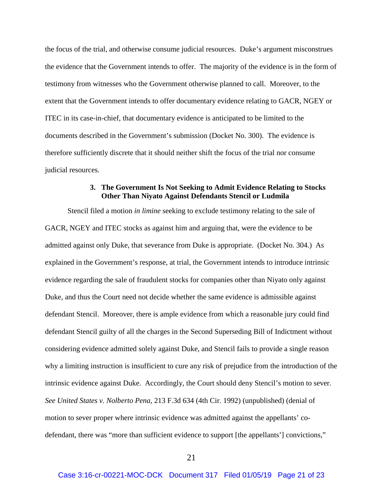the focus of the trial, and otherwise consume judicial resources. Duke's argument misconstrues the evidence that the Government intends to offer. The majority of the evidence is in the form of testimony from witnesses who the Government otherwise planned to call. Moreover, to the extent that the Government intends to offer documentary evidence relating to GACR, NGEY or ITEC in its case-in-chief, that documentary evidence is anticipated to be limited to the documents described in the Government's submission (Docket No. 300). The evidence is therefore sufficiently discrete that it should neither shift the focus of the trial nor consume judicial resources.

# **3. The Government Is Not Seeking to Admit Evidence Relating to Stocks Other Than Niyato Against Defendants Stencil or Ludmila**

Stencil filed a motion *in limine* seeking to exclude testimony relating to the sale of GACR, NGEY and ITEC stocks as against him and arguing that, were the evidence to be admitted against only Duke, that severance from Duke is appropriate. (Docket No. 304.) As explained in the Government's response, at trial, the Government intends to introduce intrinsic evidence regarding the sale of fraudulent stocks for companies other than Niyato only against Duke, and thus the Court need not decide whether the same evidence is admissible against defendant Stencil. Moreover, there is ample evidence from which a reasonable jury could find defendant Stencil guilty of all the charges in the Second Superseding Bill of Indictment without considering evidence admitted solely against Duke, and Stencil fails to provide a single reason why a limiting instruction is insufficient to cure any risk of prejudice from the introduction of the intrinsic evidence against Duke. Accordingly, the Court should deny Stencil's motion to sever. *See United States v. Nolberto Pena*, 213 F.3d 634 (4th Cir. 1992) (unpublished) (denial of motion to sever proper where intrinsic evidence was admitted against the appellants' codefendant, there was "more than sufficient evidence to support [the appellants'] convictions,"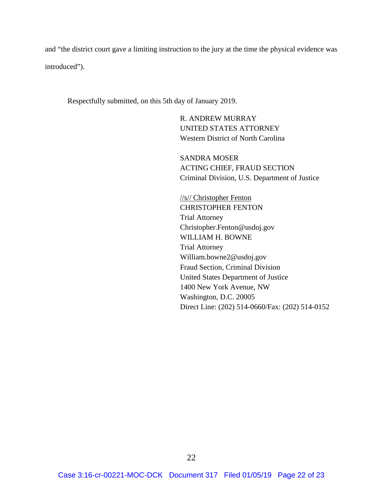and "the district court gave a limiting instruction to the jury at the time the physical evidence was introduced").

Respectfully submitted, on this 5th day of January 2019.

R. ANDREW MURRAY UNITED STATES ATTORNEY Western District of North Carolina

SANDRA MOSER ACTING CHIEF, FRAUD SECTION Criminal Division, U.S. Department of Justice

//s// Christopher Fenton CHRISTOPHER FENTON Trial Attorney Christopher.Fenton@usdoj.gov WILLIAM H. BOWNE Trial Attorney William.bowne2@usdoj.gov Fraud Section, Criminal Division United States Department of Justice 1400 New York Avenue, NW Washington, D.C. 20005 Direct Line: (202) 514-0660/Fax: (202) 514-0152